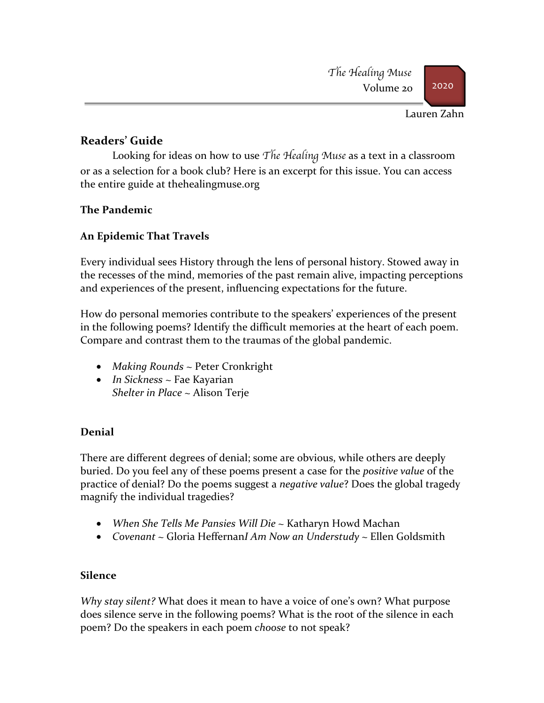

Lauren Zahn

# **Readers' Guide**

Looking for ideas on how to use *The Healing Muse* as a text in a classroom or as a selection for a book club? Here is an excerpt for this issue. You can access the entire guide at thehealingmuse.org

## **The Pandemic**

# **An Epidemic That Travels**

Every individual sees History through the lens of personal history. Stowed away in the recesses of the mind, memories of the past remain alive, impacting perceptions and experiences of the present, influencing expectations for the future.

How do personal memories contribute to the speakers' experiences of the present in the following poems? Identify the difficult memories at the heart of each poem. Compare and contrast them to the traumas of the global pandemic.

- *Making Rounds* ~ Peter Cronkright
- *In Sickness* ~ Fae Kayarian *Shelter in Place* ~ Alison Terje

## **Denial**

There are different degrees of denial; some are obvious, while others are deeply buried. Do you feel any of these poems present a case for the *positive value* of the practice of denial? Do the poems suggest a *negative value*? Does the global tragedy magnify the individual tragedies?

- *When She Tells Me Pansies Will Die* ~ Katharyn Howd Machan
- *Covenant ~* Gloria Heffernan*I Am Now an Understudy ~* Ellen Goldsmith

## **Silence**

*Why stay silent?* What does it mean to have a voice of one's own? What purpose does silence serve in the following poems? What is the root of the silence in each poem? Do the speakers in each poem *choose* to not speak?